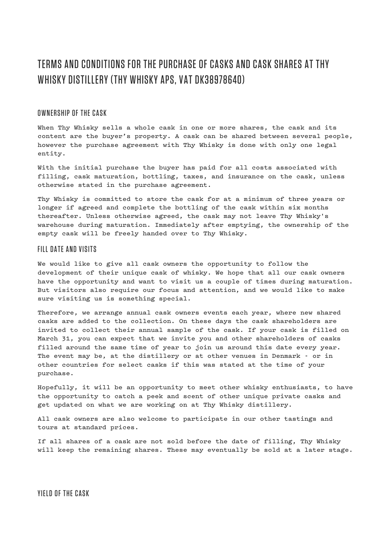# TERMS AND CONDITIONS FOR THE PURCHASE OF CASKS AND CASK SHARES AT THY WHISKY DISTILLERY (THY WHISKY APS, VAT DK38978640)

## OWNERSHIP OF THE CASK

**When Thy Whisky sells a whole cask in one or more shares, the cask and its content are the buyer's property. A cask can be shared between several people, however the purchase agreement with Thy Whisky is done with only one legal entity.**

**With the initial purchase the buyer has paid for all costs associated with filling, cask maturation, bottling, taxes, and insurance on the cask, unless otherwise stated in the purchase agreement.** 

**Thy Whisky is committed to store the cask for at a minimum of three years or longer if agreed and complete the bottling of the cask within six months thereafter. Unless otherwise agreed, the cask may not leave Thy Whisky's warehouse during maturation. Immediately after emptying, the ownership of the empty cask will be freely handed over to Thy Whisky.**

#### FILL DATE AND VISITS

**We would like to give all cask owners the opportunity to follow the development of their unique cask of whisky. We hope that all our cask owners have the opportunity and want to visit us a couple of times during maturation. But visitors also require our focus and attention, and we would like to make sure visiting us is something special.**

**Therefore, we arrange annual cask owners events each year, where new shared casks are added to the collection. On these days the cask shareholders are invited to collect their annual sample of the cask. If your cask is filled on March 31, you can expect that we invite you and other shareholders of casks filled around the same time of year to join us around this date every year. The event may be, at the distillery or at other venues in Denmark - or in other countries for select casks if this was stated at the time of your purchase.**

**Hopefully, it will be an opportunity to meet other whisky enthusiasts, to have the opportunity to catch a peek and scent of other unique private casks and get updated on what we are working on at Thy Whisky distillery.**

**All cask owners are also welcome to participate in our other tastings and tours at standard prices.**

**If all shares of a cask are not sold before the date of filling, Thy Whisky will keep the remaining shares. These may eventually be sold at a later stage.**

YIELD OF THE CASK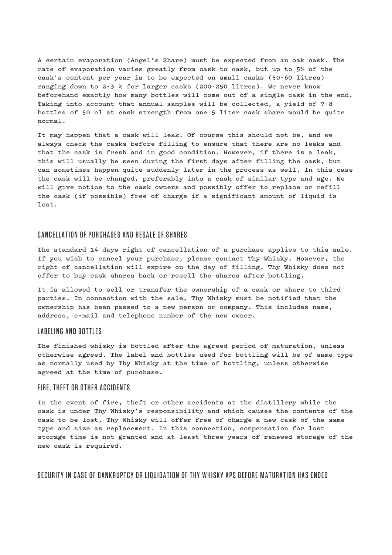**A certain evaporation (Angel's Share) must be expected from an oak cask. The rate of evaporation varies greatly from cask to cask, but up to 5% of the cask's content per year is to be expected on small casks (50-60 litres) ranging down to 2-3 % for larger casks (200-250 litres). We never know beforehand exactly how many bottles will come out of a single cask in the end. Taking into account that annual samples will be collected, a yield of 7-8 bottles of 50 cl at cask strength from one 5 liter cask share would be quite normal.**

**It may happen that a cask will leak. Of course this should not be, and we always check the casks before filling to ensure that there are no leaks and that the cask is fresh and in good condition. However, if there is a leak, this will usually be seen during the first days after filling the cask, but can sometimes happen quite suddenly later in the process as well. In this case the cask will be changed, preferably into a cask of similar type and age. We will give notice to the cask owners and possibly offer to replace or refill the cask (if possible) free of charge if a significant amount of liquid is lost.**

## CANCELLATION OF PURCHASES AND RESALE OF SHARES

**The standard 14 days right of cancellation of a purchase applies to this sale. If you wish to cancel your purchase, please contact Thy Whisky. However, the right of cancellation will expire on the day of filling. Thy Whisky does not offer to buy cask shares back or resell the shares after bottling.**

**It is allowed to sell or transfer the ownership of a cask or share to third parties. In connection with the sale, Thy Whisky must be notified that the ownership has been passed to a new person or company. This includes name, address, e-mail and telephone number of the new owner.**

#### LABELING AND BOTTLES

**The finished whisky is bottled after the agreed period of maturation, unless otherwise agreed. The label and bottles used for bottling will be of same type as normally used by Thy Whisky at the time of bottling, unless otherwise agreed at the time of purchase.**

#### FIRE, THEFT OR OTHER ACCIDENTS

**In the event of fire, theft or other accidents at the distillery while the cask is under Thy Whisky's responsibility and which causes the contents of the cask to be lost, Thy Whisky will offer free of charge a new cask of the same type and size as replacement. In this connection, compensation for lost storage time is not granted and at least three years of renewed storage of the new cask is required.**

SECURITY IN CASE OF BANKRUPTCY OR LIQUIDATION OF THY WHISKY APS BEFORE MATURATION HAS ENDED